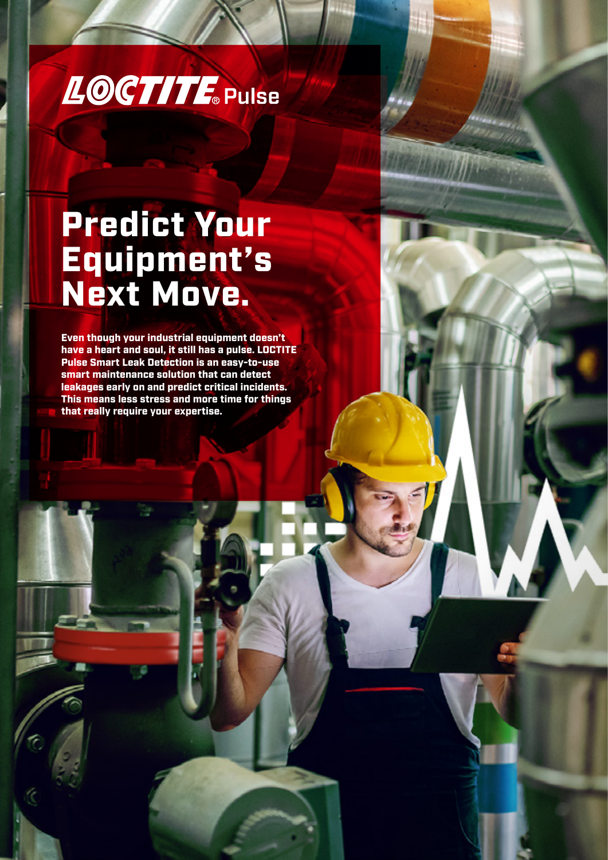

# Predict Your Equipment's Next Move.

Even though your industrial equipment doesn't have a heart and soul, it still has a pulse. LOCTITE Pulse Smart Leak Detection is an easy-to-use smart maintenance solution that can detect leakages early on and predict critical incidents. This means less stress and more time for things that really require your expertise.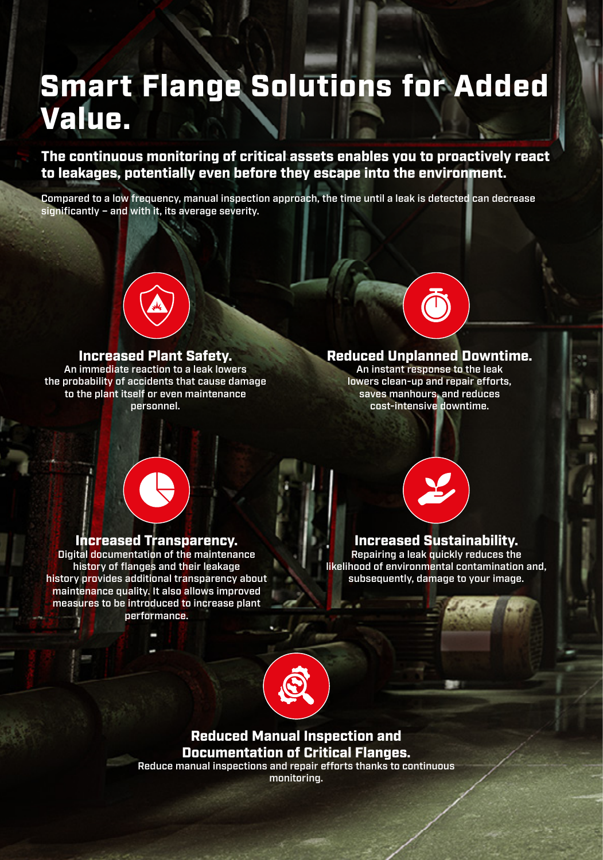# Smart Flange Solutions for Added Value.

The continuous monitoring of critical assets enables you to proactively react to leakages, potentially even before they escape into the environment.

Compared to a low frequency, manual inspection approach, the time until a leak is detected can decrease significantly – and with it, its average severity.



#### Increased Plant Safety.

An immediate reaction to a leak lowers the probability of accidents that cause damage to the plant itself or even maintenance personnel.



#### Reduced Unplanned Downtime.

An instant response to the leak lowers clean-up and repair efforts, saves manhours, and reduces cost-intensive downtime.

### Increased Transparency.

Digital documentation of the maintenance history of flanges and their leakage history provides additional transparency about maintenance quality. It also allows improved measures to be introduced to increase plant performance.



#### Increased Sustainability.

Repairing a leak quickly reduces the likelihood of environmental contamination and, subsequently, damage to your image.



## Reduced Manual Inspection and Documentation of Critical Flanges.

Reduce manual inspections and repair efforts thanks to continuous monitoring.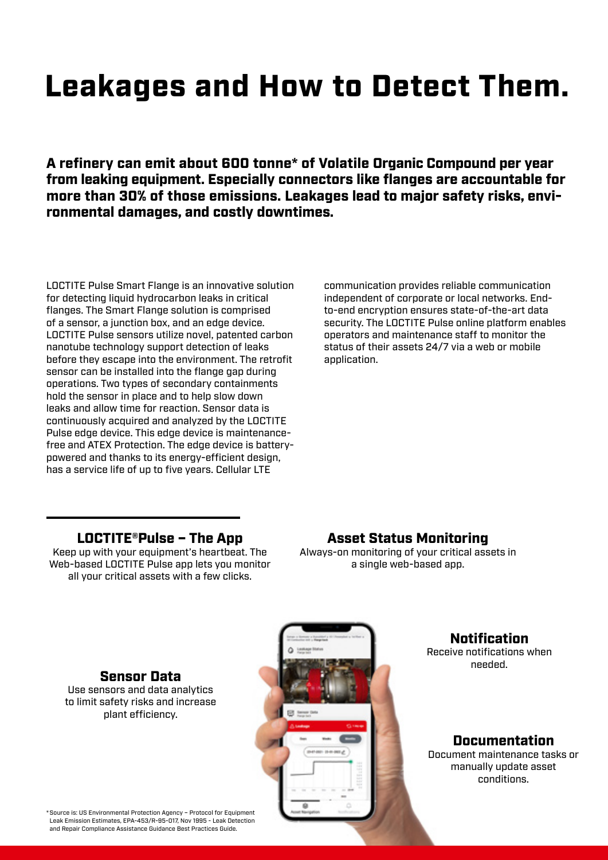# Leakages and How to Detect Them.

A refinery can emit about 600 tonne\* of Volatile Organic Compound per year from leaking equipment. Especially connectors like flanges are accountable for more than 30% of those emissions. Leakages lead to major safety risks, environmental damages, and costly downtimes.

LOCTITE Pulse Smart Flange is an innovative solution for detecting liquid hydrocarbon leaks in critical flanges. The Smart Flange solution is comprised of a sensor, a junction box, and an edge device. LOCTITE Pulse sensors utilize novel, patented carbon nanotube technology support detection of leaks before they escape into the environment. The retrofit sensor can be installed into the flange gap during operations. Two types of secondary containments hold the sensor in place and to help slow down leaks and allow time for reaction. Sensor data is continuously acquired and analyzed by the LOCTITE Pulse edge device. This edge device is maintenancefree and ATEX Protection. The edge device is batterypowered and thanks to its energy-efficient design, has a service life of up to five years. Cellular LTE

communication provides reliable communication independent of corporate or local networks. Endto-end encryption ensures state-of-the-art data security. The LOCTITE Pulse online platform enables operators and maintenance staff to monitor the status of their assets 24/7 via a web or mobile application.

### LOCTITE®Pulse – The App

Keep up with your equipment's heartbeat. The Web-based LOCTITE Pulse app lets you monitor all your critical assets with a few clicks.

Asset Status Monitoring

Always-on monitoring of your critical assets in a single web-based app.

> Notification Receive notifications when

needed.

### Sensor Data Use sensors and data analytics

to limit safety risks and increase plant efficiency.



### Documentation

Document maintenance tasks or manually update asset conditions.

\* Source is: US Environmental Protection Agency – Protocol for Equipment Leak Emission Estimates, EPA-453/R-95-017, Nov 1995 - Leak Detection and Repair Compliance Assistance Guidance Best Practices Guide.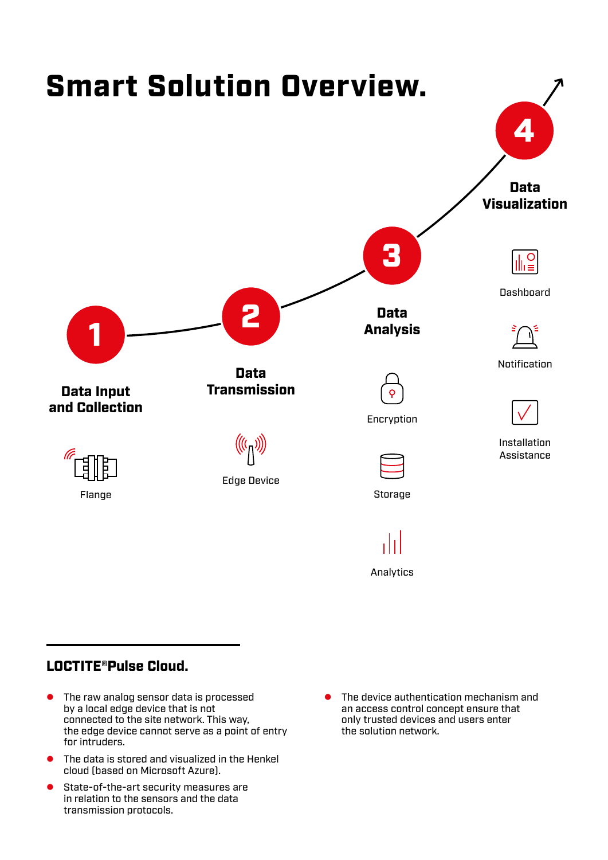

## LOCTITE®Pulse Cloud.

- $\bullet$  The raw analog sensor data is processed by a local edge device that is not connected to the site network. This way, the edge device cannot serve as a point of entry for intruders.
- $\bullet$  The data is stored and visualized in the Henkel cloud (based on Microsoft Azure).
- **•** State-of-the-art security measures are in relation to the sensors and the data transmission protocols.
- The device authentication mechanism and an access control concept ensure that only trusted devices and users enter the solution network.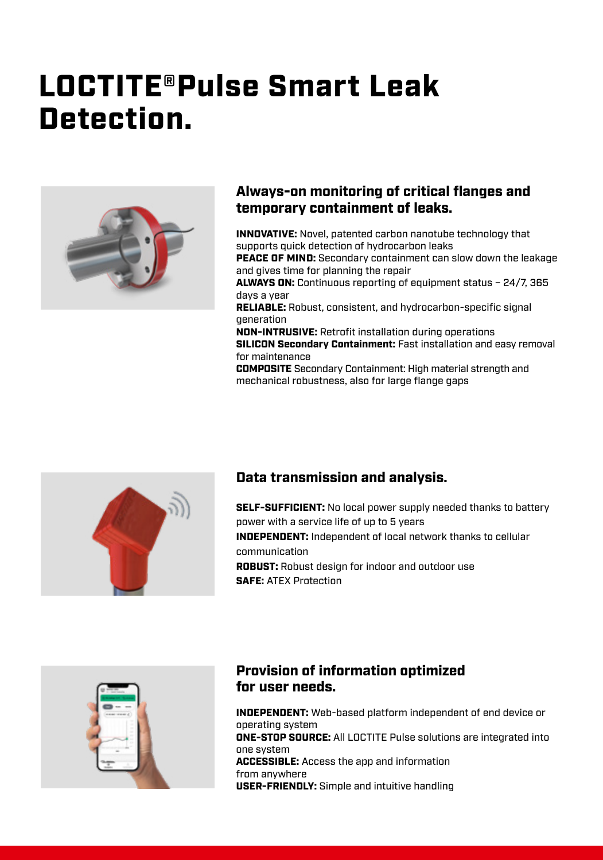# LOCTITE®Pulse Smart Leak Detection.



### Always-on monitoring of critical flanges and temporary containment of leaks.

INNOVATIVE: Novel, patented carbon nanotube technology that supports quick detection of hydrocarbon leaks

PEACE OF MIND: Secondary containment can slow down the leakage and gives time for planning the repair

ALWAYS ON: Continuous reporting of equipment status – 24/7, 365 days a year

RELIABLE: Robust, consistent, and hydrocarbon-specific signal generation

NON-INTRUSIVE: Retrofit installation during operations SILICON Secondary Containment: Fast installation and easy removal for maintenance

COMPOSITE Secondary Containment: High material strength and mechanical robustness, also for large flange gaps



## Data transmission and analysis.

**SELF-SUFFICIENT:** No local power supply needed thanks to battery power with a service life of up to 5 years INDEPENDENT: Independent of local network thanks to cellular communication ROBUST: Robust design for indoor and outdoor use SAFE: ATEX Protection



## Provision of information optimized for user needs.

INDEPENDENT: Web-based platform independent of end device or operating system ONE-STOP SOURCE: All LOCTITE Pulse solutions are integrated into one system ACCESSIBLE: Access the app and information from anywhere USER-FRIENDLY: Simple and intuitive handling